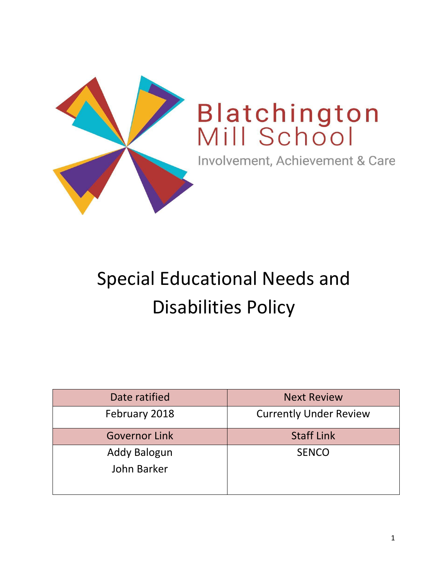

# Special Educational Needs and Disabilities Policy

| <b>Next Review</b>            |
|-------------------------------|
| <b>Currently Under Review</b> |
| <b>Staff Link</b>             |
| <b>SENCO</b>                  |
|                               |
|                               |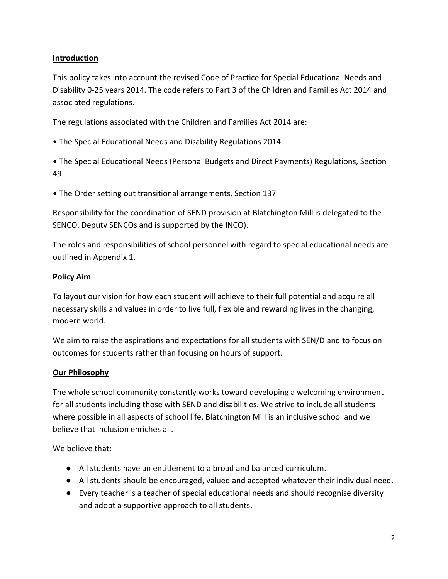## **Introduction**

This policy takes into account the revised Code of Practice for Special Educational Needs and Disability 0-25 years 2014. The code refers to Part 3 of the Children and Families Act 2014 and associated regulations.

The regulations associated with the Children and Families Act 2014 are:

• The Special Educational Needs and Disability Regulations 2014

• The Special Educational Needs (Personal Budgets and Direct Payments) Regulations, Section 49

• The Order setting out transitional arrangements, Section 137

Responsibility for the coordination of SEND provision at Blatchington Mill is delegated to the SENCO, Deputy SENCOs and is supported by the INCO).

The roles and responsibilities of school personnel with regard to special educational needs are outlined in Appendix 1.

## **Policy Aim**

To layout our vision for how each student will achieve to their full potential and acquire all necessary skills and values in order to live full, flexible and rewarding lives in the changing, modern world.

We aim to raise the aspirations and expectations for all students with SEN/D and to focus on outcomes for students rather than focusing on hours of support.

# **Our Philosophy**

The whole school community constantly works toward developing a welcoming environment for all students including those with SEND and disabilities. We strive to include all students where possible in all aspects of school life. Blatchington Mill is an inclusive school and we believe that inclusion enriches all.

We believe that:

- All students have an entitlement to a broad and balanced curriculum.
- All students should be encouraged, valued and accepted whatever their individual need.
- Every teacher is a teacher of special educational needs and should recognise diversity and adopt a supportive approach to all students.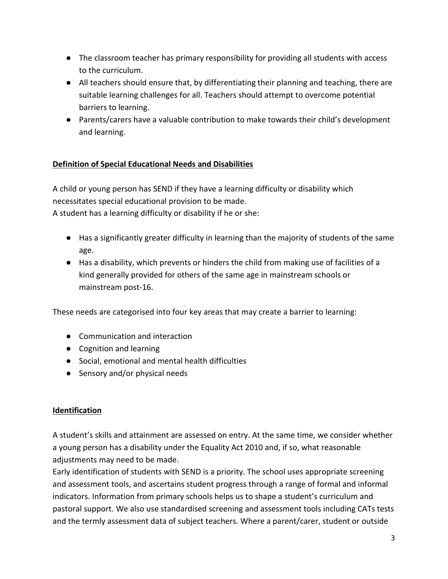- The classroom teacher has primary responsibility for providing all students with access to the curriculum.
- All teachers should ensure that, by differentiating their planning and teaching, there are suitable learning challenges for all. Teachers should attempt to overcome potential barriers to learning.
- Parents/carers have a valuable contribution to make towards their child's development and learning.

# **Definition of Special Educational Needs and Disabilities**

A child or young person has SEND if they have a learning difficulty or disability which necessitates special educational provision to be made.

A student has a learning difficulty or disability if he or she:

- Has a significantly greater difficulty in learning than the majority of students of the same age.
- Has a disability, which prevents or hinders the child from making use of facilities of a kind generally provided for others of the same age in mainstream schools or mainstream post‐16.

These needs are categorised into four key areas that may create a barrier to learning:

- Communication and interaction
- Cognition and learning
- Social, emotional and mental health difficulties
- Sensory and/or physical needs

#### **Identification**

A student's skills and attainment are assessed on entry. At the same time, we consider whether a young person has a disability under the Equality Act 2010 and, if so, what reasonable adjustments may need to be made.

Early identification of students with SEND is a priority. The school uses appropriate screening and assessment tools, and ascertains student progress through a range of formal and informal indicators. Information from primary schools helps us to shape a student's curriculum and pastoral support. We also use standardised screening and assessment tools including CATs tests and the termly assessment data of subject teachers. Where a parent/carer, student or outside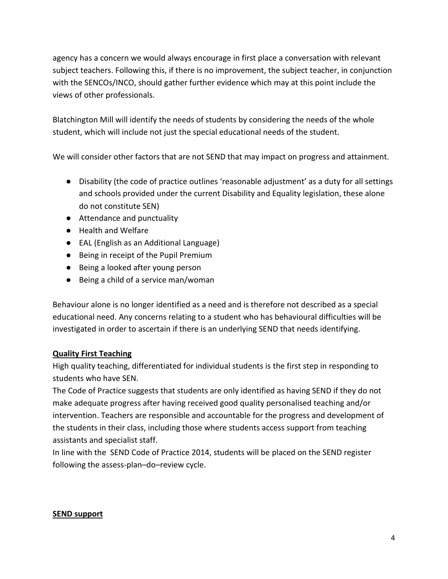agency has a concern we would always encourage in first place a conversation with relevant subject teachers. Following this, if there is no improvement, the subject teacher, in conjunction with the SENCOs/INCO, should gather further evidence which may at this point include the views of other professionals.

Blatchington Mill will identify the needs of students by considering the needs of the whole student, which will include not just the special educational needs of the student.

We will consider other factors that are not SEND that may impact on progress and attainment.

- Disability (the code of practice outlines 'reasonable adjustment' as a duty for all settings and schools provided under the current Disability and Equality legislation, these alone do not constitute SEN)
- Attendance and punctuality
- Health and Welfare
- EAL (English as an Additional Language)
- Being in receipt of the Pupil Premium
- Being a looked after young person
- Being a child of a service man/woman

Behaviour alone is no longer identified as a need and is therefore not described as a special educational need. Any concerns relating to a student who has behavioural difficulties will be investigated in order to ascertain if there is an underlying SEND that needs identifying.

#### **Quality First Teaching**

High quality teaching, differentiated for individual students is the first step in responding to students who have SEN.

The Code of Practice suggests that students are only identified as having SEND if they do not make adequate progress after having received good quality personalised teaching and/or intervention. Teachers are responsible and accountable for the progress and development of the students in their class, including those where students access support from teaching assistants and specialist staff.

In line with the SEND Code of Practice 2014, students will be placed on the SEND register following the assess-plan–do–review cycle.

#### **SEND support**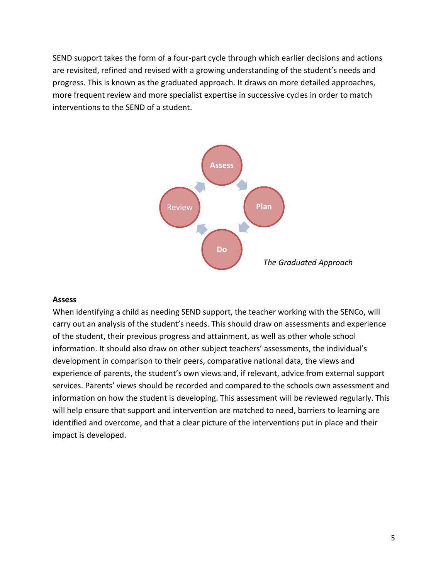SEND support takes the form of a four-part cycle through which earlier decisions and actions are revisited, refined and revised with a growing understanding of the student's needs and progress. This is known as the graduated approach. It draws on more detailed approaches, more frequent review and more specialist expertise in successive cycles in order to match interventions to the SEND of a student.



#### **Assess**

When identifying a child as needing SEND support, the teacher working with the SENCo, will carry out an analysis of the student's needs. This should draw on assessments and experience of the student, their previous progress and attainment, as well as other whole school information. It should also draw on other subject teachers' assessments, the individual's development in comparison to their peers, comparative national data, the views and experience of parents, the student's own views and, if relevant, advice from external support services. Parents' views should be recorded and compared to the schools own assessment and information on how the student is developing. This assessment will be reviewed regularly. This will help ensure that support and intervention are matched to need, barriers to learning are identified and overcome, and that a clear picture of the interventions put in place and their impact is developed.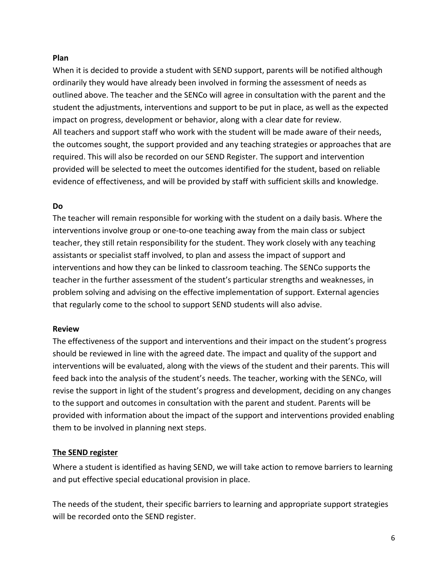#### **Plan**

When it is decided to provide a student with SEND support, parents will be notified although ordinarily they would have already been involved in forming the assessment of needs as outlined above. The teacher and the SENCo will agree in consultation with the parent and the student the adjustments, interventions and support to be put in place, as well as the expected impact on progress, development or behavior, along with a clear date for review. All teachers and support staff who work with the student will be made aware of their needs, the outcomes sought, the support provided and any teaching strategies or approaches that are required. This will also be recorded on our SEND Register. The support and intervention provided will be selected to meet the outcomes identified for the student, based on reliable evidence of effectiveness, and will be provided by staff with sufficient skills and knowledge.

#### **Do**

The teacher will remain responsible for working with the student on a daily basis. Where the interventions involve group or one-to-one teaching away from the main class or subject teacher, they still retain responsibility for the student. They work closely with any teaching assistants or specialist staff involved, to plan and assess the impact of support and interventions and how they can be linked to classroom teaching. The SENCo supports the teacher in the further assessment of the student's particular strengths and weaknesses, in problem solving and advising on the effective implementation of support. External agencies that regularly come to the school to support SEND students will also advise.

#### **Review**

The effectiveness of the support and interventions and their impact on the student's progress should be reviewed in line with the agreed date. The impact and quality of the support and interventions will be evaluated, along with the views of the student and their parents. This will feed back into the analysis of the student's needs. The teacher, working with the SENCo, will revise the support in light of the student's progress and development, deciding on any changes to the support and outcomes in consultation with the parent and student. Parents will be provided with information about the impact of the support and interventions provided enabling them to be involved in planning next steps.

#### **The SEND register**

Where a student is identified as having SEND, we will take action to remove barriers to learning and put effective special educational provision in place.

The needs of the student, their specific barriers to learning and appropriate support strategies will be recorded onto the SEND register.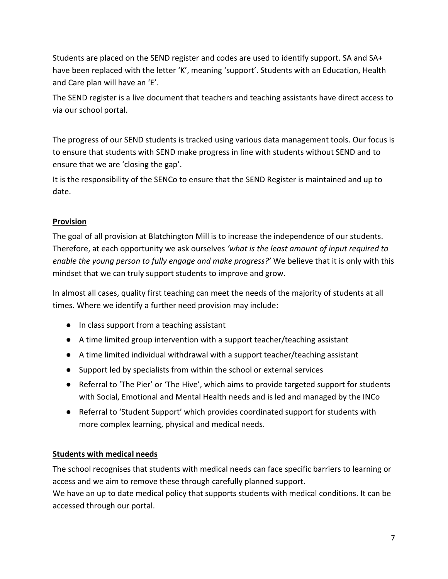Students are placed on the SEND register and codes are used to identify support. SA and SA+ have been replaced with the letter 'K', meaning 'support'. Students with an Education, Health and Care plan will have an 'E'.

The SEND register is a live document that teachers and teaching assistants have direct access to via our school portal.

The progress of our SEND students is tracked using various data management tools. Our focus is to ensure that students with SEND make progress in line with students without SEND and to ensure that we are 'closing the gap'.

It is the responsibility of the SENCo to ensure that the SEND Register is maintained and up to date.

## **Provision**

The goal of all provision at Blatchington Mill is to increase the independence of our students. Therefore, at each opportunity we ask ourselves *'what is the least amount of input required to enable the young person to fully engage and make progress?'* We believe that it is only with this mindset that we can truly support students to improve and grow.

In almost all cases, quality first teaching can meet the needs of the majority of students at all times. Where we identify a further need provision may include:

- In class support from a teaching assistant
- A time limited group intervention with a support teacher/teaching assistant
- A time limited individual withdrawal with a support teacher/teaching assistant
- Support led by specialists from within the school or external services
- Referral to 'The Pier' or 'The Hive', which aims to provide targeted support for students with Social, Emotional and Mental Health needs and is led and managed by the INCo
- Referral to 'Student Support' which provides coordinated support for students with more complex learning, physical and medical needs.

#### **Students with medical needs**

The school recognises that students with medical needs can face specific barriers to learning or access and we aim to remove these through carefully planned support.

We have an up to date medical policy that supports students with medical conditions. It can be accessed through our portal.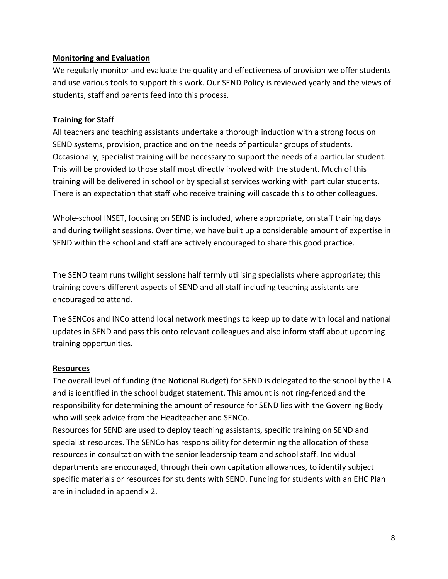#### **Monitoring and Evaluation**

We regularly monitor and evaluate the quality and effectiveness of provision we offer students and use various tools to support this work. Our SEND Policy is reviewed yearly and the views of students, staff and parents feed into this process.

#### **Training for Staff**

All teachers and teaching assistants undertake a thorough induction with a strong focus on SEND systems, provision, practice and on the needs of particular groups of students. Occasionally, specialist training will be necessary to support the needs of a particular student. This will be provided to those staff most directly involved with the student. Much of this training will be delivered in school or by specialist services working with particular students. There is an expectation that staff who receive training will cascade this to other colleagues.

Whole-school INSET, focusing on SEND is included, where appropriate, on staff training days and during twilight sessions. Over time, we have built up a considerable amount of expertise in SEND within the school and staff are actively encouraged to share this good practice.

The SEND team runs twilight sessions half termly utilising specialists where appropriate; this training covers different aspects of SEND and all staff including teaching assistants are encouraged to attend.

The SENCos and INCo attend local network meetings to keep up to date with local and national updates in SEND and pass this onto relevant colleagues and also inform staff about upcoming training opportunities.

#### **Resources**

The overall level of funding (the Notional Budget) for SEND is delegated to the school by the LA and is identified in the school budget statement. This amount is not ring‐fenced and the responsibility for determining the amount of resource for SEND lies with the Governing Body who will seek advice from the Headteacher and SENCo.

Resources for SEND are used to deploy teaching assistants, specific training on SEND and specialist resources. The SENCo has responsibility for determining the allocation of these resources in consultation with the senior leadership team and school staff. Individual departments are encouraged, through their own capitation allowances, to identify subject specific materials or resources for students with SEND. Funding for students with an EHC Plan are in included in appendix 2.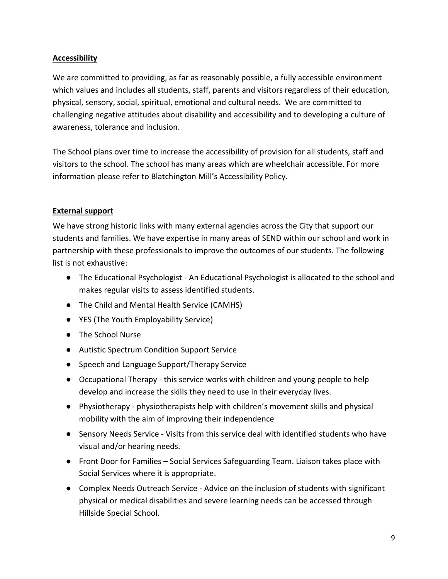## **Accessibility**

We are committed to providing, as far as reasonably possible, a fully accessible environment which values and includes all students, staff, parents and visitors regardless of their education, physical, sensory, social, spiritual, emotional and cultural needs. We are committed to challenging negative attitudes about disability and accessibility and to developing a culture of awareness, tolerance and inclusion.

The School plans over time to increase the accessibility of provision for all students, staff and visitors to the school. The school has many areas which are wheelchair accessible. For more information please refer to Blatchington Mill's Accessibility Policy.

#### **External support**

We have strong historic links with many external agencies across the City that support our students and families. We have expertise in many areas of SEND within our school and work in partnership with these professionals to improve the outcomes of our students. The following list is not exhaustive:

- The Educational Psychologist An Educational Psychologist is allocated to the school and makes regular visits to assess identified students.
- The Child and Mental Health Service (CAMHS)
- YES (The Youth Employability Service)
- The School Nurse
- Autistic Spectrum Condition Support Service
- Speech and Language Support/Therapy Service
- Occupational Therapy this service works with children and young people to help develop and increase the skills they need to use in their everyday lives.
- Physiotherapy physiotherapists help with children's movement skills and physical mobility with the aim of improving their independence
- Sensory Needs Service Visits from this service deal with identified students who have visual and/or hearing needs.
- Front Door for Families Social Services Safeguarding Team. Liaison takes place with Social Services where it is appropriate.
- Complex Needs Outreach Service Advice on the inclusion of students with significant physical or medical disabilities and severe learning needs can be accessed through Hillside Special School.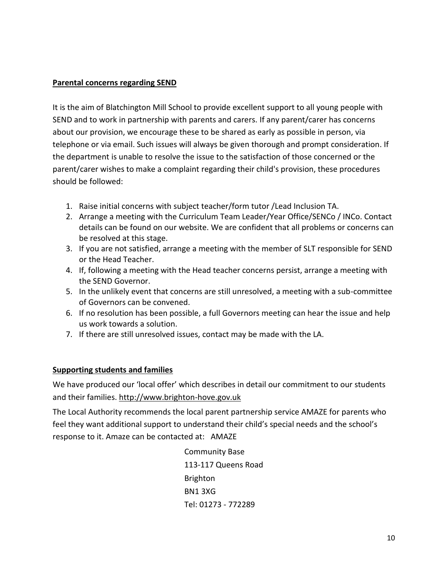#### **Parental concerns regarding SEND**

It is the aim of Blatchington Mill School to provide excellent support to all young people with SEND and to work in partnership with parents and carers. If any parent/carer has concerns about our provision, we encourage these to be shared as early as possible in person, via telephone or via email. Such issues will always be given thorough and prompt consideration. If the department is unable to resolve the issue to the satisfaction of those concerned or the parent/carer wishes to make a complaint regarding their child's provision, these procedures should be followed:

- 1. Raise initial concerns with subject teacher/form tutor /Lead Inclusion TA.
- 2. Arrange a meeting with the Curriculum Team Leader/Year Office/SENCo / INCo. Contact details can be found on our website. We are confident that all problems or concerns can be resolved at this stage.
- 3. If you are not satisfied, arrange a meeting with the member of SLT responsible for SEND or the Head Teacher.
- 4. If, following a meeting with the Head teacher concerns persist, arrange a meeting with the SEND Governor.
- 5. In the unlikely event that concerns are still unresolved, a meeting with a sub-committee of Governors can be convened.
- 6. If no resolution has been possible, a full Governors meeting can hear the issue and help us work towards a solution.
- 7. If there are still unresolved issues, contact may be made with the LA.

#### **Supporting students and families**

We have produced our 'local offer' which describes in detail our commitment to our students and their families[. http://www.brighton-hove.gov.uk](http://www.brighton-hove.gov.uk/)

The Local Authority recommends the local parent partnership service AMAZE for parents who feel they want additional support to understand their child's special needs and the school's response to it. Amaze can be contacted at: AMAZE

> Community Base 113-117 Queens Road Brighton BN1 3XG Tel: 01273 - 772289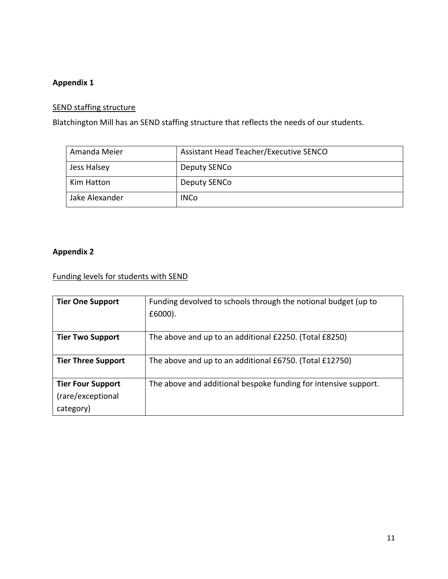# **Appendix 1**

# SEND staffing structure

Blatchington Mill has an SEND staffing structure that reflects the needs of our students.

| Amanda Meier   | Assistant Head Teacher/Executive SENCO |
|----------------|----------------------------------------|
| Jess Halsey    | Deputy SENCo                           |
| Kim Hatton     | Deputy SENCo                           |
| Jake Alexander | <b>INCo</b>                            |

# **Appendix 2**

Funding levels for students with SEND

| <b>Tier One Support</b>                                    | Funding devolved to schools through the notional budget (up to<br>$£6000$ ). |
|------------------------------------------------------------|------------------------------------------------------------------------------|
| <b>Tier Two Support</b>                                    | The above and up to an additional £2250. (Total £8250)                       |
| <b>Tier Three Support</b>                                  | The above and up to an additional £6750. (Total £12750)                      |
| <b>Tier Four Support</b><br>(rare/exceptional<br>category) | The above and additional bespoke funding for intensive support.              |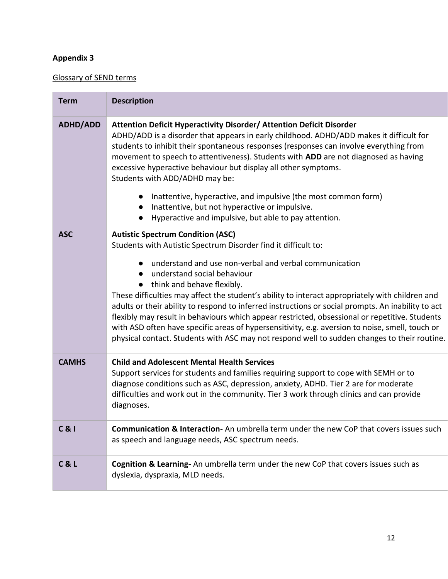# **Appendix 3**

# Glossary of SEND terms

| <b>Term</b>     | <b>Description</b>                                                                                                                                                                                                                                                                                                                                                                                                                                                                                                                                                                                                                                                                                                                                                          |
|-----------------|-----------------------------------------------------------------------------------------------------------------------------------------------------------------------------------------------------------------------------------------------------------------------------------------------------------------------------------------------------------------------------------------------------------------------------------------------------------------------------------------------------------------------------------------------------------------------------------------------------------------------------------------------------------------------------------------------------------------------------------------------------------------------------|
| <b>ADHD/ADD</b> | Attention Deficit Hyperactivity Disorder/ Attention Deficit Disorder<br>ADHD/ADD is a disorder that appears in early childhood. ADHD/ADD makes it difficult for<br>students to inhibit their spontaneous responses (responses can involve everything from<br>movement to speech to attentiveness). Students with ADD are not diagnosed as having<br>excessive hyperactive behaviour but display all other symptoms.<br>Students with ADD/ADHD may be:<br>Inattentive, hyperactive, and impulsive (the most common form)<br>$\bullet$<br>Inattentive, but not hyperactive or impulsive.<br>$\bullet$<br>Hyperactive and impulsive, but able to pay attention.<br>$\bullet$                                                                                                   |
| <b>ASC</b>      | <b>Autistic Spectrum Condition (ASC)</b><br>Students with Autistic Spectrum Disorder find it difficult to:<br>understand and use non-verbal and verbal communication<br>$\bullet$<br>understand social behaviour<br>$\bullet$<br>• think and behave flexibly.<br>These difficulties may affect the student's ability to interact appropriately with children and<br>adults or their ability to respond to inferred instructions or social prompts. An inability to act<br>flexibly may result in behaviours which appear restricted, obsessional or repetitive. Students<br>with ASD often have specific areas of hypersensitivity, e.g. aversion to noise, smell, touch or<br>physical contact. Students with ASC may not respond well to sudden changes to their routine. |
| <b>CAMHS</b>    | <b>Child and Adolescent Mental Health Services</b><br>Support services for students and families requiring support to cope with SEMH or to<br>diagnose conditions such as ASC, depression, anxiety, ADHD. Tier 2 are for moderate<br>difficulties and work out in the community. Tier 3 work through clinics and can provide<br>diagnoses.                                                                                                                                                                                                                                                                                                                                                                                                                                  |
| $C$ & $I$       | <b>Communication &amp; Interaction-</b> An umbrella term under the new CoP that covers issues such<br>as speech and language needs, ASC spectrum needs.                                                                                                                                                                                                                                                                                                                                                                                                                                                                                                                                                                                                                     |
| C & L           | Cognition & Learning- An umbrella term under the new CoP that covers issues such as<br>dyslexia, dyspraxia, MLD needs.                                                                                                                                                                                                                                                                                                                                                                                                                                                                                                                                                                                                                                                      |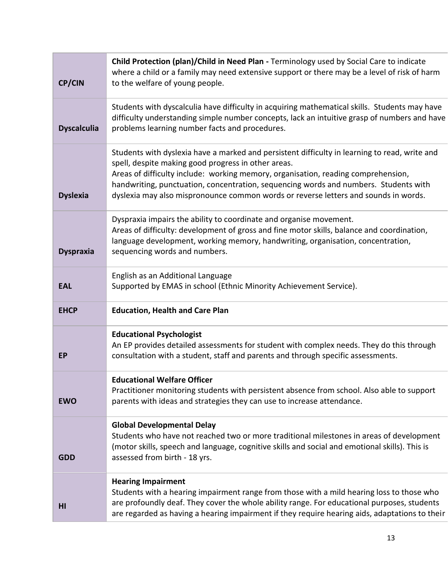| <b>CP/CIN</b>      | Child Protection (plan)/Child in Need Plan - Terminology used by Social Care to indicate<br>where a child or a family may need extensive support or there may be a level of risk of harm<br>to the welfare of young people.                                                                                                                                                                                              |
|--------------------|--------------------------------------------------------------------------------------------------------------------------------------------------------------------------------------------------------------------------------------------------------------------------------------------------------------------------------------------------------------------------------------------------------------------------|
| <b>Dyscalculia</b> | Students with dyscalculia have difficulty in acquiring mathematical skills. Students may have<br>difficulty understanding simple number concepts, lack an intuitive grasp of numbers and have<br>problems learning number facts and procedures.                                                                                                                                                                          |
| <b>Dyslexia</b>    | Students with dyslexia have a marked and persistent difficulty in learning to read, write and<br>spell, despite making good progress in other areas.<br>Areas of difficulty include: working memory, organisation, reading comprehension,<br>handwriting, punctuation, concentration, sequencing words and numbers. Students with<br>dyslexia may also mispronounce common words or reverse letters and sounds in words. |
| <b>Dyspraxia</b>   | Dyspraxia impairs the ability to coordinate and organise movement.<br>Areas of difficulty: development of gross and fine motor skills, balance and coordination,<br>language development, working memory, handwriting, organisation, concentration,<br>sequencing words and numbers.                                                                                                                                     |
| <b>EAL</b>         | English as an Additional Language<br>Supported by EMAS in school (Ethnic Minority Achievement Service).                                                                                                                                                                                                                                                                                                                  |
| <b>EHCP</b>        | <b>Education, Health and Care Plan</b>                                                                                                                                                                                                                                                                                                                                                                                   |
| <b>EP</b>          | <b>Educational Psychologist</b><br>An EP provides detailed assessments for student with complex needs. They do this through<br>consultation with a student, staff and parents and through specific assessments.                                                                                                                                                                                                          |
| <b>EWO</b>         | <b>Educational Welfare Officer</b><br>Practitioner monitoring students with persistent absence from school. Also able to support<br>parents with ideas and strategies they can use to increase attendance.                                                                                                                                                                                                               |
| <b>GDD</b>         | <b>Global Developmental Delay</b><br>Students who have not reached two or more traditional milestones in areas of development<br>(motor skills, speech and language, cognitive skills and social and emotional skills). This is<br>assessed from birth - 18 yrs.                                                                                                                                                         |
| HI                 | <b>Hearing Impairment</b><br>Students with a hearing impairment range from those with a mild hearing loss to those who<br>are profoundly deaf. They cover the whole ability range. For educational purposes, students<br>are regarded as having a hearing impairment if they require hearing aids, adaptations to their                                                                                                  |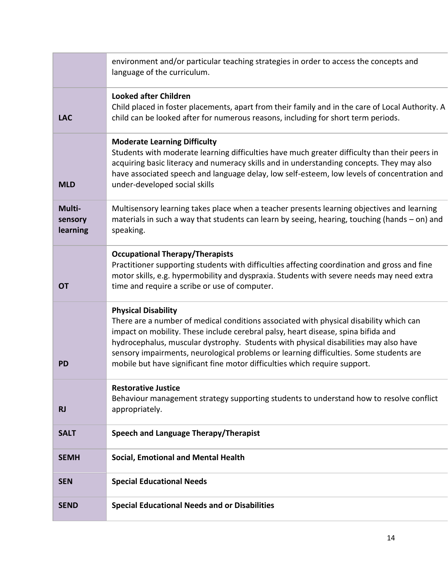|                               | environment and/or particular teaching strategies in order to access the concepts and<br>language of the curriculum.                                                                                                                                                                                                                                                                                                                                                      |
|-------------------------------|---------------------------------------------------------------------------------------------------------------------------------------------------------------------------------------------------------------------------------------------------------------------------------------------------------------------------------------------------------------------------------------------------------------------------------------------------------------------------|
| <b>LAC</b>                    | <b>Looked after Children</b><br>Child placed in foster placements, apart from their family and in the care of Local Authority. A<br>child can be looked after for numerous reasons, including for short term periods.                                                                                                                                                                                                                                                     |
| <b>MLD</b>                    | <b>Moderate Learning Difficulty</b><br>Students with moderate learning difficulties have much greater difficulty than their peers in<br>acquiring basic literacy and numeracy skills and in understanding concepts. They may also<br>have associated speech and language delay, low self-esteem, low levels of concentration and<br>under-developed social skills                                                                                                         |
| Multi-<br>sensory<br>learning | Multisensory learning takes place when a teacher presents learning objectives and learning<br>materials in such a way that students can learn by seeing, hearing, touching (hands – on) and<br>speaking.                                                                                                                                                                                                                                                                  |
| <b>OT</b>                     | <b>Occupational Therapy/Therapists</b><br>Practitioner supporting students with difficulties affecting coordination and gross and fine<br>motor skills, e.g. hypermobility and dyspraxia. Students with severe needs may need extra<br>time and require a scribe or use of computer.                                                                                                                                                                                      |
| <b>PD</b>                     | <b>Physical Disability</b><br>There are a number of medical conditions associated with physical disability which can<br>impact on mobility. These include cerebral palsy, heart disease, spina bifida and<br>hydrocephalus, muscular dystrophy. Students with physical disabilities may also have<br>sensory impairments, neurological problems or learning difficulties. Some students are<br>mobile but have significant fine motor difficulties which require support. |
| <b>RJ</b>                     | <b>Restorative Justice</b><br>Behaviour management strategy supporting students to understand how to resolve conflict<br>appropriately.                                                                                                                                                                                                                                                                                                                                   |
| <b>SALT</b>                   | Speech and Language Therapy/Therapist                                                                                                                                                                                                                                                                                                                                                                                                                                     |
| <b>SEMH</b>                   | <b>Social, Emotional and Mental Health</b>                                                                                                                                                                                                                                                                                                                                                                                                                                |
| <b>SEN</b>                    | <b>Special Educational Needs</b>                                                                                                                                                                                                                                                                                                                                                                                                                                          |
| <b>SEND</b>                   | <b>Special Educational Needs and or Disabilities</b>                                                                                                                                                                                                                                                                                                                                                                                                                      |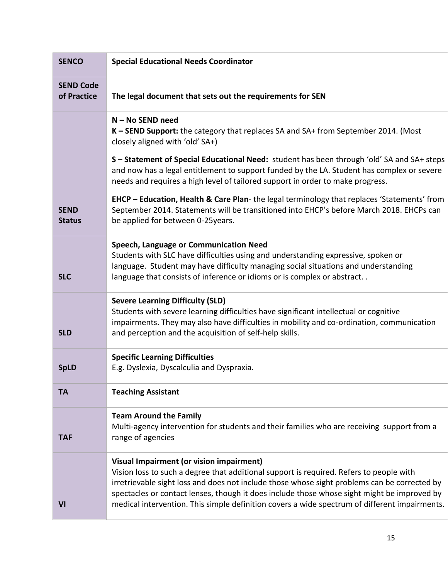| <b>SENCO</b>                    | <b>Special Educational Needs Coordinator</b>                                                                                                                                                                                                                                                                                                                                                                                        |
|---------------------------------|-------------------------------------------------------------------------------------------------------------------------------------------------------------------------------------------------------------------------------------------------------------------------------------------------------------------------------------------------------------------------------------------------------------------------------------|
| <b>SEND Code</b><br>of Practice | The legal document that sets out the requirements for SEN                                                                                                                                                                                                                                                                                                                                                                           |
|                                 | N - No SEND need<br>K - SEND Support: the category that replaces SA and SA+ from September 2014. (Most<br>closely aligned with 'old' SA+)<br>S - Statement of Special Educational Need: student has been through 'old' SA and SA+ steps                                                                                                                                                                                             |
|                                 | and now has a legal entitlement to support funded by the LA. Student has complex or severe<br>needs and requires a high level of tailored support in order to make progress.                                                                                                                                                                                                                                                        |
| <b>SEND</b><br><b>Status</b>    | <b>EHCP - Education, Health &amp; Care Plan-</b> the legal terminology that replaces 'Statements' from<br>September 2014. Statements will be transitioned into EHCP's before March 2018. EHCPs can<br>be applied for between 0-25years.                                                                                                                                                                                             |
| <b>SLC</b>                      | Speech, Language or Communication Need<br>Students with SLC have difficulties using and understanding expressive, spoken or<br>language. Student may have difficulty managing social situations and understanding<br>language that consists of inference or idioms or is complex or abstract                                                                                                                                        |
| <b>SLD</b>                      | <b>Severe Learning Difficulty (SLD)</b><br>Students with severe learning difficulties have significant intellectual or cognitive<br>impairments. They may also have difficulties in mobility and co-ordination, communication<br>and perception and the acquisition of self-help skills.                                                                                                                                            |
| <b>SpLD</b>                     | <b>Specific Learning Difficulties</b><br>E.g. Dyslexia, Dyscalculia and Dyspraxia.                                                                                                                                                                                                                                                                                                                                                  |
| TА                              | <b>Teaching Assistant</b>                                                                                                                                                                                                                                                                                                                                                                                                           |
| <b>TAF</b>                      | <b>Team Around the Family</b><br>Multi-agency intervention for students and their families who are receiving support from a<br>range of agencies                                                                                                                                                                                                                                                                                    |
| VI                              | Visual Impairment (or vision impairment)<br>Vision loss to such a degree that additional support is required. Refers to people with<br>irretrievable sight loss and does not include those whose sight problems can be corrected by<br>spectacles or contact lenses, though it does include those whose sight might be improved by<br>medical intervention. This simple definition covers a wide spectrum of different impairments. |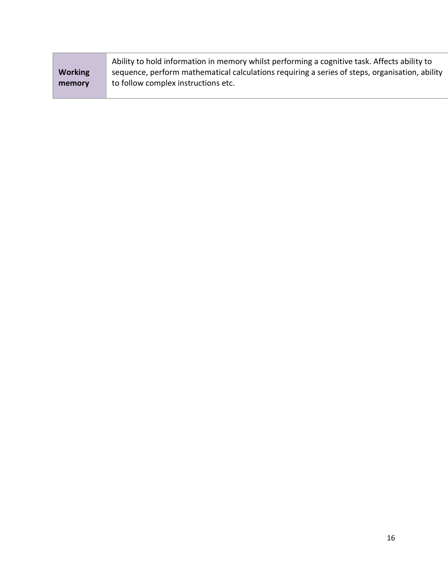|                | Ability to hold information in memory whilst performing a cognitive task. Affects ability to   |
|----------------|------------------------------------------------------------------------------------------------|
| <b>Working</b> | sequence, perform mathematical calculations requiring a series of steps, organisation, ability |
| memory         | to follow complex instructions etc.                                                            |
|                |                                                                                                |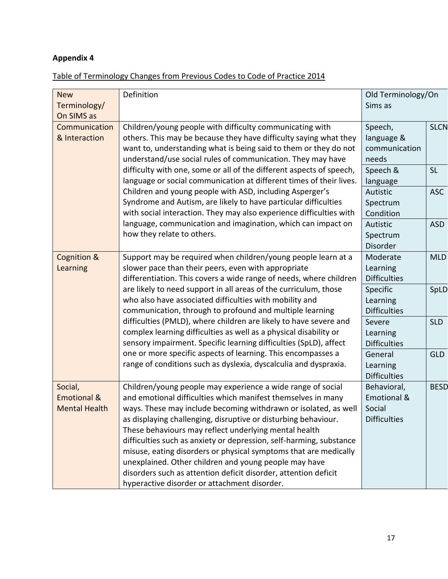# **Appendix 4**

# Table of Terminology Changes from Previous Codes to Code of Practice 2014

| <b>New</b><br>Terminology/<br>On SIMS as                  | Definition                                                                                                                                                                                                                                                                                                                                                                                                                                                                                                                                                                                                                                       | Old Terminology/On<br>Sims as                               |             |
|-----------------------------------------------------------|--------------------------------------------------------------------------------------------------------------------------------------------------------------------------------------------------------------------------------------------------------------------------------------------------------------------------------------------------------------------------------------------------------------------------------------------------------------------------------------------------------------------------------------------------------------------------------------------------------------------------------------------------|-------------------------------------------------------------|-------------|
| Communication<br>& Interaction                            | Children/young people with difficulty communicating with<br>others. This may be because they have difficulty saying what they<br>want to, understanding what is being said to them or they do not<br>understand/use social rules of communication. They may have                                                                                                                                                                                                                                                                                                                                                                                 | Speech,<br>language &<br>communication<br>needs             | <b>SLCN</b> |
|                                                           | difficulty with one, some or all of the different aspects of speech,<br>language or social communication at different times of their lives.                                                                                                                                                                                                                                                                                                                                                                                                                                                                                                      | Speech &<br>language                                        | <b>SL</b>   |
|                                                           | Children and young people with ASD, including Asperger's<br>Syndrome and Autism, are likely to have particular difficulties<br>with social interaction. They may also experience difficulties with                                                                                                                                                                                                                                                                                                                                                                                                                                               | Autistic<br>Spectrum<br>Condition                           | <b>ASC</b>  |
|                                                           | language, communication and imagination, which can impact on<br>how they relate to others.                                                                                                                                                                                                                                                                                                                                                                                                                                                                                                                                                       | Autistic<br>Spectrum<br><b>Disorder</b>                     | <b>ASD</b>  |
| Cognition &<br>Learning                                   | Support may be required when children/young people learn at a<br>slower pace than their peers, even with appropriate<br>differentiation. This covers a wide range of needs, where children                                                                                                                                                                                                                                                                                                                                                                                                                                                       | Moderate<br>Learning<br><b>Difficulties</b>                 | <b>MLD</b>  |
|                                                           | are likely to need support in all areas of the curriculum, those<br>who also have associated difficulties with mobility and<br>communication, through to profound and multiple learning                                                                                                                                                                                                                                                                                                                                                                                                                                                          | Specific<br>Learning<br><b>Difficulties</b>                 | SpLD        |
|                                                           | difficulties (PMLD), where children are likely to have severe and<br>complex learning difficulties as well as a physical disability or<br>sensory impairment. Specific learning difficulties (SpLD), affect                                                                                                                                                                                                                                                                                                                                                                                                                                      | Severe<br>Learning<br><b>Difficulties</b>                   | <b>SLD</b>  |
|                                                           | one or more specific aspects of learning. This encompasses a<br>range of conditions such as dyslexia, dyscalculia and dyspraxia.                                                                                                                                                                                                                                                                                                                                                                                                                                                                                                                 | General<br>Learning<br><b>Difficulties</b>                  | <b>GLD</b>  |
| Social,<br><b>Emotional &amp;</b><br><b>Mental Health</b> | Children/young people may experience a wide range of social<br>and emotional difficulties which manifest themselves in many<br>ways. These may include becoming withdrawn or isolated, as well<br>as displaying challenging, disruptive or disturbing behaviour.<br>These behaviours may reflect underlying mental health<br>difficulties such as anxiety or depression, self-harming, substance<br>misuse, eating disorders or physical symptoms that are medically<br>unexplained. Other children and young people may have<br>disorders such as attention deficit disorder, attention deficit<br>hyperactive disorder or attachment disorder. | Behavioral,<br>Emotional &<br>Social<br><b>Difficulties</b> | <b>BESD</b> |